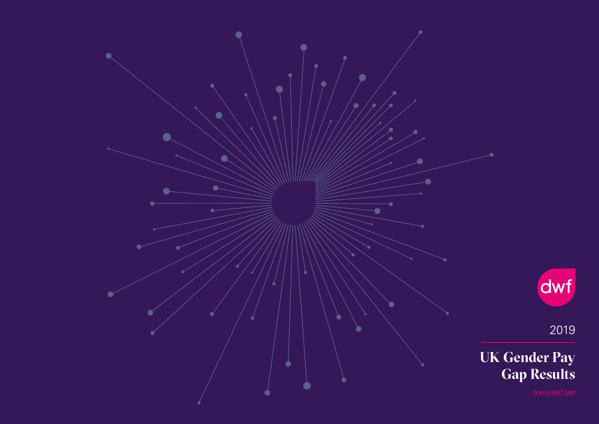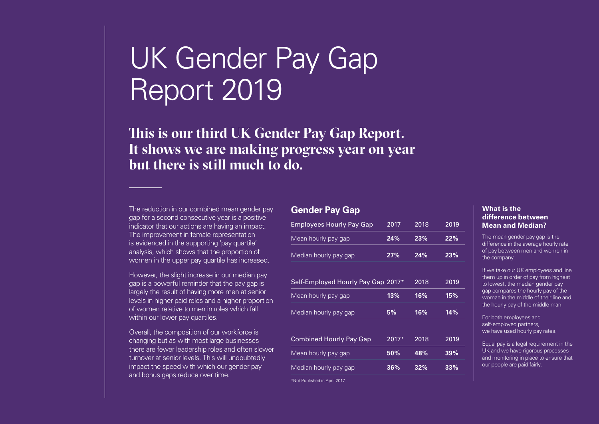### UK Gender Pay Gap Report 2019

**This is our third UK Gender Pay Gap Report. It shows we are making progress year on year but there is still much to do.** 

The reduction in our combined mean gender pay gap for a second consecutive year is a positive indicator that our actions are having an impact. The improvement in female representation is evidenced in the supporting 'pay quartile' analysis, which shows that the proportion of women in the upper pay quartile has increased.

However, the slight increase in our median pay gap is a powerful reminder that the pay gap is largely the result of having more men at senior levels in higher paid roles and a higher proportion of women relative to men in roles which fall within our lower pay quartiles.

Overall, the composition of our workforce is changing but as with most large businesses there are fewer leadership roles and often slower turnover at senior levels. This will undoubtedly impact the speed with which our gender pay and bonus gaps reduce over time.

#### **Gender Pay Gap**

| <b>Employees Hourly Pay Gap</b>    | 2017    | 2018 | 2019 |
|------------------------------------|---------|------|------|
| Mean hourly pay gap                | 24%     | 23%  | 22%  |
| Median hourly pay gap              | 27%     | 24%  | 23%  |
|                                    |         |      |      |
| Self-Employed Hourly Pay Gap 2017* |         | 2018 | 2019 |
| Mean hourly pay gap                | 13%     | 16%  | 15%  |
| Median hourly pay gap              | 5%      | 16%  | 14%  |
|                                    |         |      |      |
| <b>Combined Hourly Pay Gap</b>     | $2017*$ | 2018 | 2019 |
| Mean hourly pay gap                | 50%     | 48%  | 39%  |
| Median hourly pay gap              | 36%     | 32%  | 33%  |

\*Not Published in April 2017

#### **What is the difference between Mean and Median?**

The mean gender pay gap is the difference in the average hourly rate of pay between men and women in the company.

If we take our UK employees and line them up in order of pay from highest to lowest, the median gender pay gap compares the hourly pay of the woman in the middle of their line and the hourly pay of the middle man.

For both employees and self-employed partners, we have used hourly pay rates.

Equal pay is a legal requirement in the UK and we have rigorous processes and monitoring in place to ensure that our people are paid fairly.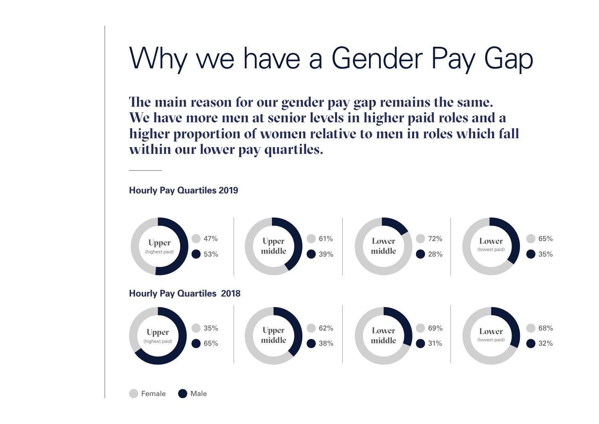## Why we have a Gender Pay Gap

**The main reason for our gender pay gap remains the same. We have more men at senior levels in higher paid roles and a higher proportion of women relative to men in roles which fall within our lower pay quartiles.** 

**Hourly Pay Quartiles 2019**

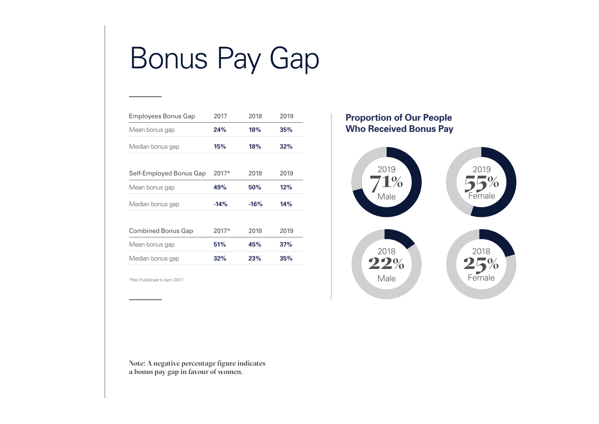# Bonus Pay Gap

| Employees Bonus Gap     | 2017    | 2018   | 2019 |
|-------------------------|---------|--------|------|
| Mean bonus gap          | 24%     | 18%    | 35%  |
| Median bonus gap        | 15%     | 18%    | 32%  |
| Self-Employed Bonus Gap | $2017*$ | 2018   | 2019 |
| Mean bonus gap          | 49%     | 50%    | 12%  |
| Median bonus gap        | $-14%$  | $-16%$ | 14%  |
| Combined Bonus Gap      | $2017*$ | 2018   | 2019 |
| Mean bonus gap          | 51%     | 45%    | 37%  |
| Median bonus gap        | 32%     | 23%    | 35%  |
|                         |         |        |      |

\*Not Published in April 2017

**Proportion of Our People Who Received Bonus Pay** 



**Note: A negative percentage figure indicates a bonus pay gap in favour of women.**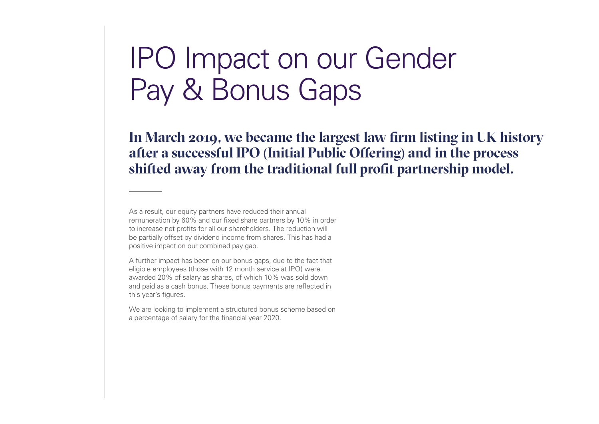### IPO Impact on our Gender Pay & Bonus Gaps

**In March 2019, we became the largest law firm listing in UK history after a successful IPO (Initial Public Offering) and in the process shifted away from the traditional full profit partnership model.**

As a result, our equity partners have reduced their annual remuneration by 60% and our fixed share partners by 10% in order to increase net profits for all our shareholders. The reduction will be partially offset by dividend income from shares. This has had a positive impact on our combined pay gap.

A further impact has been on our bonus gaps, due to the fact that eligible employees (those with 12 month service at IPO) were awarded 20% of salary as shares, of which 10% was sold down and paid as a cash bonus. These bonus payments are reflected in this year's figures.

We are looking to implement a structured bonus scheme based on a percentage of salary for the financial year 2020.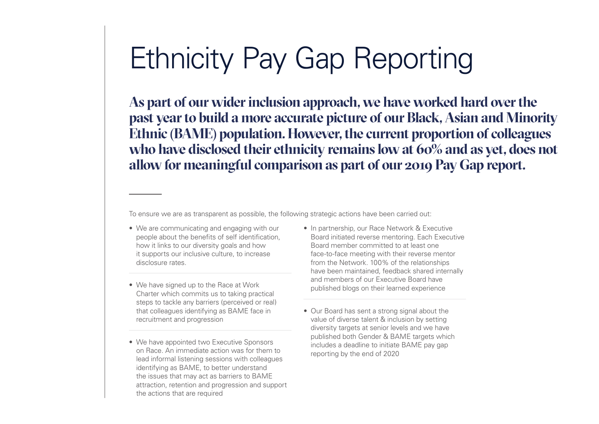### Ethnicity Pay Gap Reporting

**As part of our wider inclusion approach, we have worked hard over the past year to build a more accurate picture of our Black, Asian and Minority Ethnic (BAME) population. However, the current proportion of colleagues who have disclosed their ethnicity remains low at 60% and as yet, does not allow for meaningful comparison as part of our 2019 Pay Gap report.** 

To ensure we are as transparent as possible, the following strategic actions have been carried out:

- We are communicating and engaging with our people about the benefits of self identification, how it links to our diversity goals and how it supports our inclusive culture, to increase disclosure rates.
- We have signed up to the Race at Work Charter which commits us to taking practical steps to tackle any barriers (perceived or real) that colleagues identifying as BAME face in recruitment and progression
- We have appointed two Executive Sponsors on Race. An immediate action was for them to lead informal listening sessions with colleagues identifying as BAME, to better understand the issues that may act as barriers to BAME attraction, retention and progression and support the actions that are required
- In partnership, our Race Network & Executive Board initiated reverse mentoring. Each Executive Board member committed to at least one face-to-face meeting with their reverse mentor from the Network. 100% of the relationships have been maintained, feedback shared internally and members of our Executive Board have published blogs on their learned experience
- Our Board has sent a strong signal about the value of diverse talent & inclusion by setting diversity targets at senior levels and we have published both Gender & BAME targets which includes a deadline to initiate BAME pay gap reporting by the end of 2020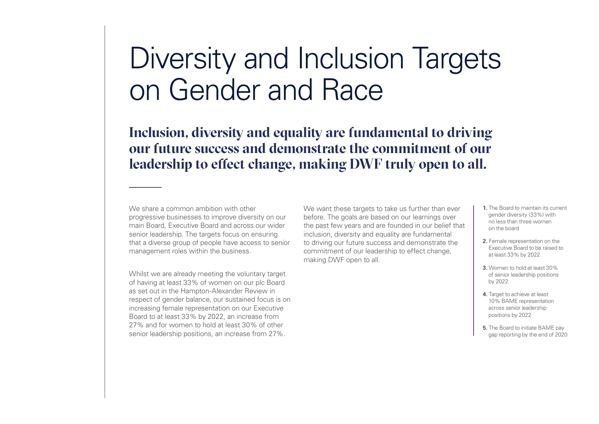#### Diversity and Inclusion Targets on Gender and Race

**Inclusion, diversity and equality are fundamental to driving our future success and demonstrate the commitment of our leadership to effect change, making DWF truly open to all.**

We share a common ambition with other progressive businesses to improve diversity on our main Board, Executive Board and across our wider senior leadership. The targets focus on ensuring that a diverse group of people have access to senior management roles within the business.

Whilst we are already meeting the voluntary target of having at least 33% of women on our plc Board as set out in the Hampton-Alexander Review in respect of gender balance, our sustained focus is on increasing female representation on our Executive Board to at least 33% by 2022, an increase from 27% and for women to hold at least 30% of other senior leadership positions, an increase from 27%.

We want these targets to take us further than ever before. The goals are based on our learnings over the past few years and are founded in our belief that inclusion, diversity and equality are fundamental to driving our future success and demonstrate the commitment of our leadership to effect change, making DWF open to all.

- **1.** The Board to maintain its current gender diversity (33%) with no less than three women on the board
- **2.** Female representation on the Executive Board to be raised to at least 33% by 2022
- **3.** Women to hold at least 30% of senior leadership positions by 2022
- **4.** Target to achieve at least 10% BAME representation across senior leadership positions by 2022
- **5.** The Board to initiate BAME pay gap reporting by the end of 2020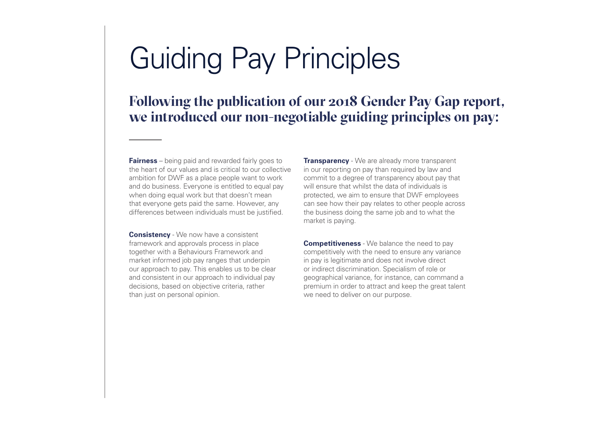## Guiding Pay Principles

#### **Following the publication of our 2018 Gender Pay Gap report, we introduced our non-negotiable guiding principles on pay:**

**Fairness** – being paid and rewarded fairly goes to the heart of our values and is critical to our collective ambition for DWF as a place people want to work and do business. Everyone is entitled to equal pay when doing equal work but that doesn't mean that everyone gets paid the same. However, any differences between individuals must be justified.

**Consistency** - We now have a consistent framework and approvals process in place together with a Behaviours Framework and market informed job pay ranges that underpin our approach to pay. This enables us to be clear and consistent in our approach to individual pay decisions, based on objective criteria, rather than just on personal opinion.

**Transparency** - We are already more transparent in our reporting on pay than required by law and commit to a degree of transparency about pay that will ensure that whilst the data of individuals is protected, we aim to ensure that DWF employees can see how their pay relates to other people across the business doing the same job and to what the market is paying.

**Competitiveness** - We balance the need to pay competitively with the need to ensure any variance in pay is legitimate and does not involve direct or indirect discrimination. Specialism of role or geographical variance, for instance, can command a premium in order to attract and keep the great talent we need to deliver on our purpose.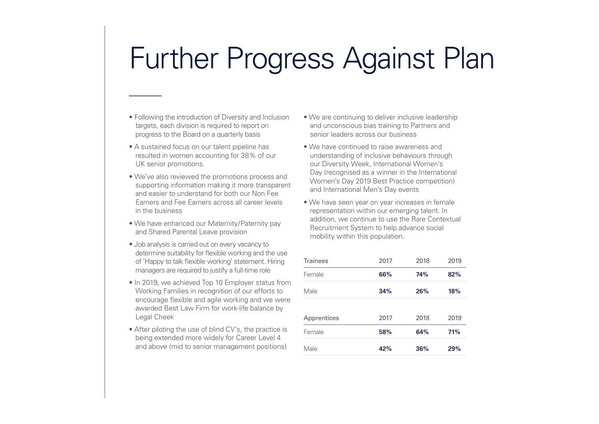## Further Progress Against Plan

- Following the introduction of Diversity and Inclusion targets, each division is required to report on progress to the Board on a quarterly basis
- A sustained focus on our talent pipeline has resulted in women accounting for 38% of our UK senior promotions.
- We've also reviewed the promotions process and supporting information making it more transparent and easier to understand for both our Non Fee Earners and Fee Earners across all career levels in the business
- We have enhanced our Maternity/Paternity pay and Shared Parental Leave provision
- Job analysis is carried out on every vacancy to determine suitability for flexible working and the use of 'Happy to talk flexible working' statement. Hiring managers are required to justify a full-time role
- In 2019, we achieved Top 10 Employer status from Working Families in recognition of our efforts to encourage flexible and agile working and we were awarded Best Law Firm for work-life balance by Legal Cheek
- After piloting the use of blind CV's, the practice is being extended more widely for Career Level 4 and above (mid to senior management positions)
- We are continuing to deliver inclusive leadership and unconscious bias training to Partners and senior leaders across our business
- We have continued to raise awareness and understanding of inclusive behaviours through our Diversity Week, International Women's Day (recognised as a winner in the International Women's Day 2019 Best Practice competition) and International Men's Day events
- We have seen year on year increases in female representation within our emerging talent. In addition, we continue to use the Rare Contextual Recruitment System to help advance social mobility within this population.

| <b>Trainees</b> | 2017 | 2018       | 2019 |
|-----------------|------|------------|------|
| Female          | 66%  | <b>74%</b> | 82%  |
| Male            | 34%  | 26%        | 18%  |
|                 |      |            |      |
| Apprentices     | 2017 | 2018       | 2019 |
| Female          | 58%  | 64%        | 71%  |
| Male            | 42%  | 36%        | 29%  |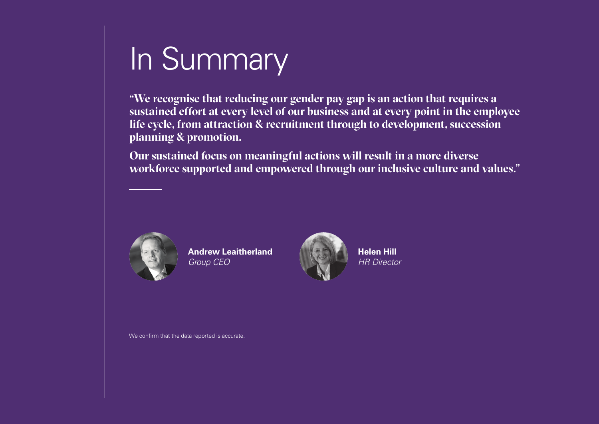# In Summary

**"We recognise that reducing our gender pay gap is an action that requires a sustained effort at every level of our business and at every point in the employee life cycle, from attraction & recruitment through to development, succession planning & promotion.** 

**Our sustained focus on meaningful actions will result in a more diverse workforce supported and empowered through our inclusive culture and values."** 



**Andrew Leaitherland**  *Group CEO*



*HR Director*

We confirm that the data reported is accurate.